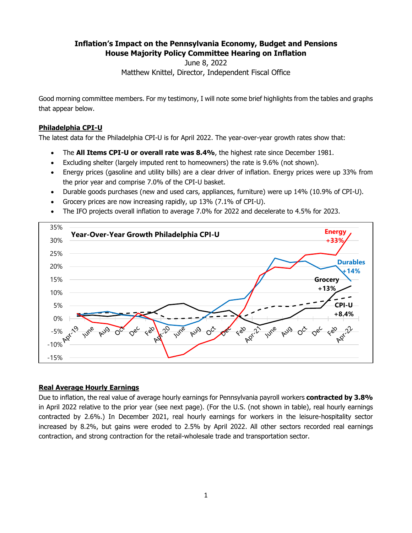# **Inflation's Impact on the Pennsylvania Economy, Budget and Pensions House Majority Policy Committee Hearing on Inflation**

June 8, 2022

Matthew Knittel, Director, Independent Fiscal Office

Good morning committee members. For my testimony, I will note some brief highlights from the tables and graphs that appear below.

## **Philadelphia CPI-U**

The latest data for the Philadelphia CPI-U is for April 2022. The year-over-year growth rates show that:

- The **All Items CPI-U or overall rate was 8.4%**, the highest rate since December 1981.
- Excluding shelter (largely imputed rent to homeowners) the rate is 9.6% (not shown).
- Energy prices (gasoline and utility bills) are a clear driver of inflation. Energy prices were up 33% from the prior year and comprise 7.0% of the CPI-U basket.
- Durable goods purchases (new and used cars, appliances, furniture) were up 14% (10.9% of CPI-U).
- Grocery prices are now increasing rapidly, up 13% (7.1% of CPI-U).
- The IFO projects overall inflation to average 7.0% for 2022 and decelerate to 4.5% for 2023.



#### **Real Average Hourly Earnings**

Due to inflation, the real value of average hourly earnings for Pennsylvania payroll workers **contracted by 3.8%** in April 2022 relative to the prior year (see next page). (For the U.S. (not shown in table), real hourly earnings contracted by 2.6%.) In December 2021, real hourly earnings for workers in the leisure-hospitality sector increased by 8.2%, but gains were eroded to 2.5% by April 2022. All other sectors recorded real earnings contraction, and strong contraction for the retail-wholesale trade and transportation sector.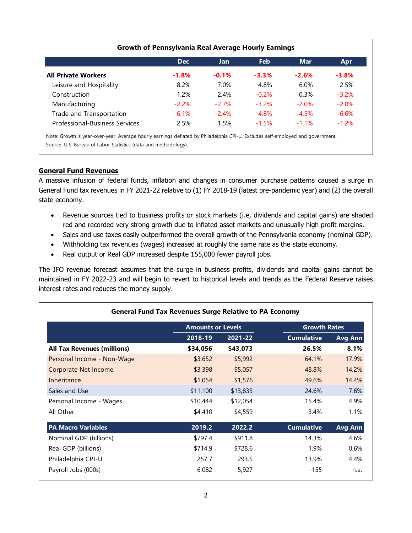|                                       | <b>Dec</b> | Jan.     | <b>Feb</b> | <b>Mar</b> | Apr     |
|---------------------------------------|------------|----------|------------|------------|---------|
| <b>All Private Workers</b>            | $-1.8%$    | $-0.1%$  | $-3.3%$    | $-2.6%$    | $-3.8%$ |
| Leisure and Hospitality               | 8.2%       | 7.0%     | 4.8%       | 6.0%       | 2.5%    |
| Construction                          | 1.2%       | 2.4%     | $-0.2%$    | 0.3%       | $-3.2%$ |
| Manufacturing                         | $-2.2%$    | $-2.7\%$ | $-3.2\%$   | $-2.0\%$   | $-2.0%$ |
| Trade and Transportation              | $-6.1\%$   | $-2.4%$  | $-4.8%$    | $-4.5%$    | $-6.6%$ |
| <b>Professional-Business Services</b> | 2.5%       | 1.5%     | $-1.5%$    | $-1.1%$    | $-1.2%$ |

## **General Fund Revenues**

A massive infusion of federal funds, inflation and changes in consumer purchase patterns caused a surge in General Fund tax revenues in FY 2021-22 relative to (1) FY 2018-19 (latest pre-pandemic year) and (2) the overall state economy.

- Revenue sources tied to business profits or stock markets (i.e, dividends and capital gains) are shaded red and recorded very strong growth due to inflated asset markets and unusually high profit margins.
- Sales and use taxes easily outperformed the overall growth of the Pennsylvania economy (nominal GDP).
- Withholding tax revenues (wages) increased at roughly the same rate as the state economy.
- Real output or Real GDP increased despite 155,000 fewer payroll jobs.

The IFO revenue forecast assumes that the surge in business profits, dividends and capital gains cannot be maintained in FY 2022-23 and will begin to revert to historical levels and trends as the Federal Reserve raises interest rates and reduces the money supply.

|                                    | <b>Amounts or Levels</b> |          | <b>Growth Rates</b> |                |  |
|------------------------------------|--------------------------|----------|---------------------|----------------|--|
|                                    | 2018-19                  | 2021-22  | <b>Cumulative</b>   | Avg Ann        |  |
| <b>All Tax Revenues (millions)</b> | \$34,056                 | \$43,073 | 26.5%               | 8.1%           |  |
| Personal Income - Non-Wage         | \$3,652                  | \$5,992  | 64.1%               | 17.9%          |  |
| <b>Corporate Net Income</b>        | \$3,398                  | \$5,057  | 48.8%               | 14.2%          |  |
| Inheritance                        | \$1,054                  | \$1,576  | 49.6%               | 14.4%          |  |
| Sales and Use                      | \$11,100                 | \$13,835 | 24.6%               | 7.6%           |  |
| Personal Income - Wages            | \$10,444                 | \$12,054 | 15.4%               | 4.9%           |  |
| All Other                          | \$4,410                  | \$4,559  | 3.4%                | 1.1%           |  |
| <b>PA Macro Variables</b>          | 2019.2                   | 2022.2   | <b>Cumulative</b>   | <b>Avg Ann</b> |  |
| Nominal GDP (billions)             | \$797.4                  | \$911.8  | 14.3%               | 4.6%           |  |
| Real GDP (billions)                | \$714.9                  | \$728.6  | 1.9%                | 0.6%           |  |
| Philadelphia CPI-U                 | 257.7                    | 293.5    | 13.9%               | 4.4%           |  |
| Payroll Jobs (000s)                | 6,082                    | 5,927    | -155                | n.a.           |  |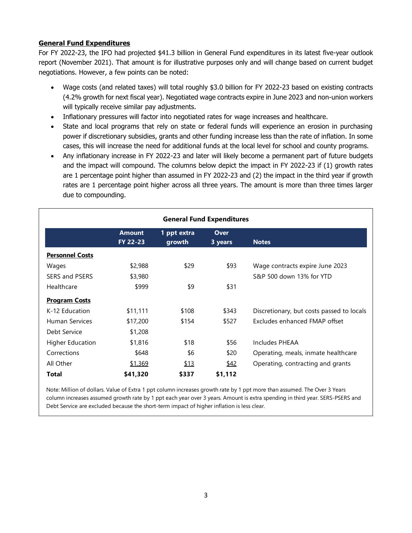# **General Fund Expenditures**

For FY 2022-23, the IFO had projected \$41.3 billion in General Fund expenditures in its latest five-year outlook report (November 2021). That amount is for illustrative purposes only and will change based on current budget negotiations. However, a few points can be noted:

- Wage costs (and related taxes) will total roughly \$3.0 billion for FY 2022-23 based on existing contracts (4.2% growth for next fiscal year). Negotiated wage contracts expire in June 2023 and non-union workers will typically receive similar pay adjustments.
- Inflationary pressures will factor into negotiated rates for wage increases and healthcare.
- State and local programs that rely on state or federal funds will experience an erosion in purchasing power if discretionary subsidies, grants and other funding increase less than the rate of inflation. In some cases, this will increase the need for additional funds at the local level for school and county programs.
- Any inflationary increase in FY 2022-23 and later will likely become a permanent part of future budgets and the impact will compound. The columns below depict the impact in FY 2022-23 if (1) growth rates are 1 percentage point higher than assumed in FY 2022-23 and (2) the impact in the third year if growth rates are 1 percentage point higher across all three years. The amount is more than three times larger due to compounding.

| <b>General Fund Expenditures</b> |                                  |                       |                 |                                           |  |  |  |
|----------------------------------|----------------------------------|-----------------------|-----------------|-------------------------------------------|--|--|--|
|                                  | <b>Amount</b><br><b>FY 22-23</b> | 1 ppt extra<br>growth | Over<br>3 years | <b>Notes</b>                              |  |  |  |
| <b>Personnel Costs</b>           |                                  |                       |                 |                                           |  |  |  |
| Wages                            | \$2,988                          | \$29                  | \$93            | Wage contracts expire June 2023           |  |  |  |
| <b>SERS and PSERS</b>            | \$3,980                          |                       |                 | S&P 500 down 13% for YTD                  |  |  |  |
| Healthcare                       | \$999                            | \$9                   | \$31            |                                           |  |  |  |
| <b>Program Costs</b>             |                                  |                       |                 |                                           |  |  |  |
| K-12 Education                   | \$11,111                         | \$108                 | \$343           | Discretionary, but costs passed to locals |  |  |  |
| Human Services                   | \$17,200                         | \$154                 | \$527           | Excludes enhanced FMAP offset             |  |  |  |
| Debt Service                     | \$1,208                          |                       |                 |                                           |  |  |  |
| <b>Higher Education</b>          | \$1,816                          | \$18                  | \$56            | Includes PHEAA                            |  |  |  |
| Corrections                      | \$648                            | \$6                   | \$20            | Operating, meals, inmate healthcare       |  |  |  |
| All Other                        | \$1,369                          | \$13                  | \$42            | Operating, contracting and grants         |  |  |  |
| Total                            | \$41,320                         | \$337                 | \$1,112         |                                           |  |  |  |

Note: Million of dollars. Value of Extra 1 ppt column increases growth rate by 1 ppt more than assumed. The Over 3 Years column increases assumed growth rate by 1 ppt each year over 3 years. Amount is extra spending in third year. SERS-PSERS and Debt Service are excluded because the short-term impact of higher inflation is less clear.